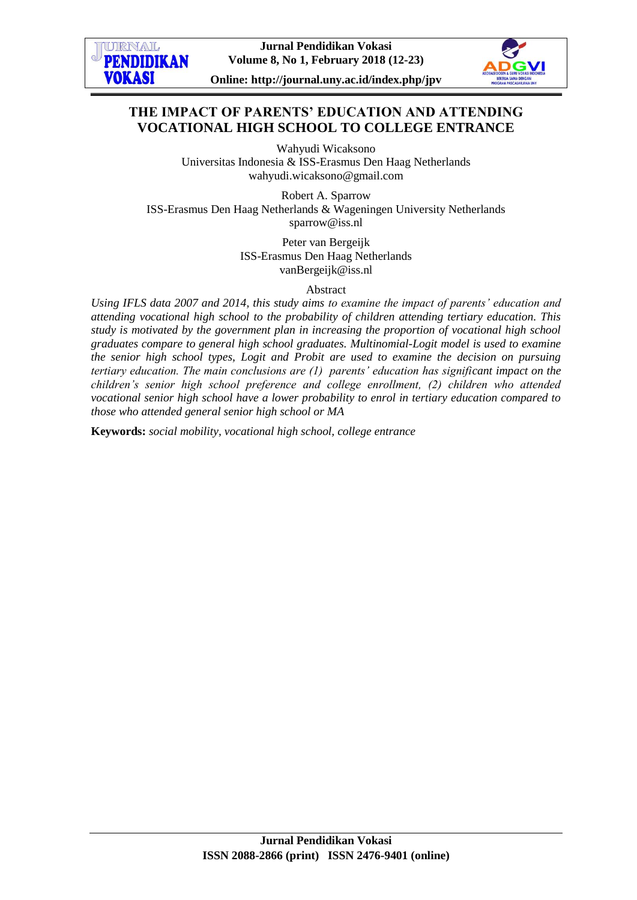



**Online: http://journal.uny.ac.id/index.php/jpv**

# **THE IMPACT OF PARENTS' EDUCATION AND ATTENDING VOCATIONAL HIGH SCHOOL TO COLLEGE ENTRANCE**

Wahyudi Wicaksono Universitas Indonesia & ISS-Erasmus Den Haag Netherlands wahyudi.wicaksono@gmail.com

Robert A. Sparrow ISS-Erasmus Den Haag Netherlands & Wageningen University Netherlands sparrow@iss.nl

> Peter van Bergeijk ISS-Erasmus Den Haag Netherlands vanBergeijk@iss.nl

> > Abstract

*Using IFLS data 2007 and 2014, this study aims to examine the impact of parents' education and attending vocational high school to the probability of children attending tertiary education. This study is motivated by the government plan in increasing the proportion of vocational high school graduates compare to general high school graduates. Multinomial-Logit model is used to examine the senior high school types, Logit and Probit are used to examine the decision on pursuing tertiary education. The main conclusions are (1) parents' education has significant impact on the children's senior high school preference and college enrollment, (2) children who attended vocational senior high school have a lower probability to enrol in tertiary education compared to those who attended general senior high school or MA*

**Keywords:** *social mobility, vocational high school, college entrance*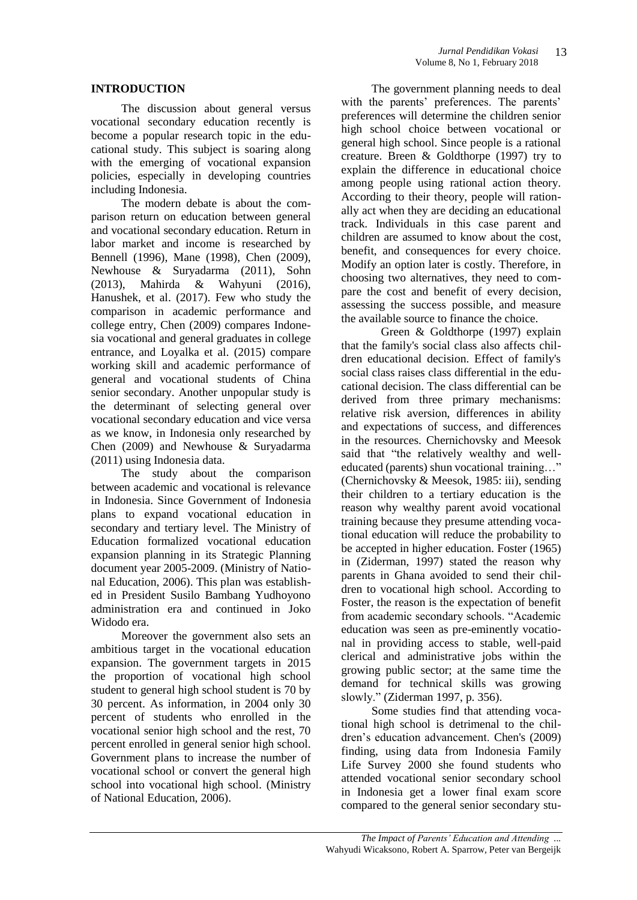### **INTRODUCTION**

The discussion about general versus vocational secondary education recently is become a popular research topic in the educational study. This subject is soaring along with the emerging of vocational expansion policies, especially in developing countries including Indonesia.

The modern debate is about the comparison return on education between general and vocational secondary education. Return in labor market and income is researched by Bennell (1996), Mane (1998), Chen (2009), Newhouse & Suryadarma (2011), Sohn (2013), Mahirda & Wahyuni (2016), Hanushek, et al. (2017). Few who study the comparison in academic performance and college entry, Chen (2009) compares Indonesia vocational and general graduates in college entrance, and Loyalka et al. (2015) compare working skill and academic performance of general and vocational students of China senior secondary. Another unpopular study is the determinant of selecting general over vocational secondary education and vice versa as we know, in Indonesia only researched by Chen (2009) and Newhouse & Suryadarma (2011) using Indonesia data.

The study about the comparison between academic and vocational is relevance in Indonesia. Since Government of Indonesia plans to expand vocational education in secondary and tertiary level. The Ministry of Education formalized vocational education expansion planning in its Strategic Planning document year 2005-2009. (Ministry of National Education, 2006). This plan was established in President Susilo Bambang Yudhoyono administration era and continued in Joko Widodo era.

Moreover the government also sets an ambitious target in the vocational education expansion. The government targets in 2015 the proportion of vocational high school student to general high school student is 70 by 30 percent. As information, in 2004 only 30 percent of students who enrolled in the vocational senior high school and the rest, 70 percent enrolled in general senior high school. Government plans to increase the number of vocational school or convert the general high school into vocational high school. (Ministry of National Education, 2006).

The government planning needs to deal with the parents' preferences. The parents' preferences will determine the children senior high school choice between vocational or general high school. Since people is a rational creature. Breen & Goldthorpe (1997) try to explain the difference in educational choice among people using rational action theory. According to their theory, people will rationally act when they are deciding an educational track. Individuals in this case parent and children are assumed to know about the cost, benefit, and consequences for every choice. Modify an option later is costly. Therefore, in choosing two alternatives, they need to compare the cost and benefit of every decision, assessing the success possible, and measure the available source to finance the choice.

Green & Goldthorpe (1997) explain that the family's social class also affects children educational decision. Effect of family's social class raises class differential in the educational decision. The class differential can be derived from three primary mechanisms: relative risk aversion, differences in ability and expectations of success, and differences in the resources. Chernichovsky and Meesok said that "the relatively wealthy and welleducated (parents) shun vocational training…" (Chernichovsky & Meesok, 1985: iii), sending their children to a tertiary education is the reason why wealthy parent avoid vocational training because they presume attending vocational education will reduce the probability to be accepted in higher education. Foster (1965) in (Ziderman, 1997) stated the reason why parents in Ghana avoided to send their children to vocational high school. According to Foster, the reason is the expectation of benefit from academic secondary schools. "Academic education was seen as pre-eminently vocational in providing access to stable, well-paid clerical and administrative jobs within the growing public sector; at the same time the demand for technical skills was growing slowly." (Ziderman 1997, p. 356).

Some studies find that attending vocational high school is detrimenal to the children's education advancement. Chen's (2009) finding, using data from Indonesia Family Life Survey 2000 she found students who attended vocational senior secondary school in Indonesia get a lower final exam score compared to the general senior secondary stu-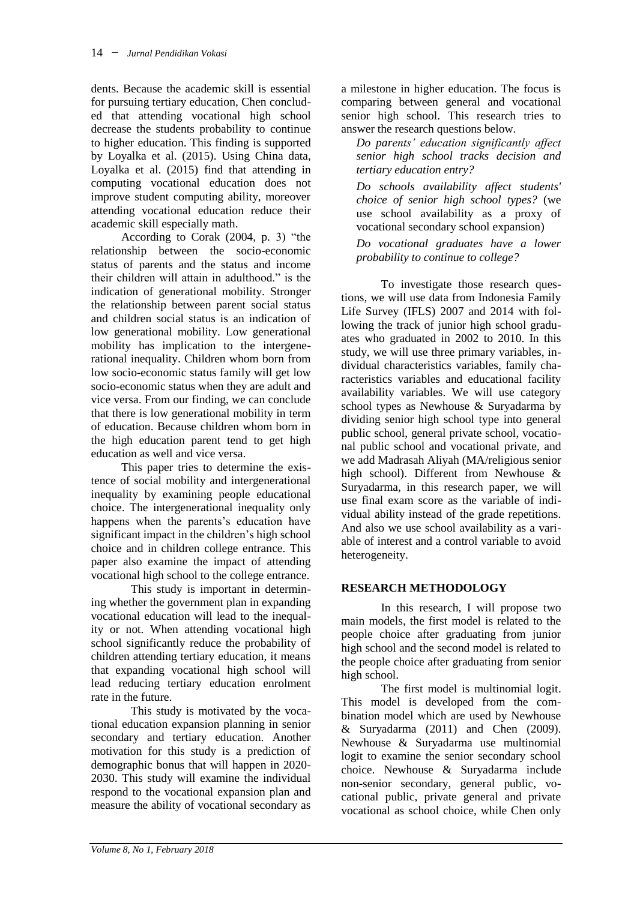dents. Because the academic skill is essential for pursuing tertiary education, Chen concluded that attending vocational high school decrease the students probability to continue to higher education. This finding is supported by Loyalka et al. (2015). Using China data, Loyalka et al. (2015) find that attending in computing vocational education does not improve student computing ability, moreover attending vocational education reduce their academic skill especially math.

According to Corak (2004, p. 3) "the relationship between the socio-economic status of parents and the status and income their children will attain in adulthood." is the indication of generational mobility. Stronger the relationship between parent social status and children social status is an indication of low generational mobility. Low generational mobility has implication to the intergenerational inequality. Children whom born from low socio-economic status family will get low socio-economic status when they are adult and vice versa. From our finding, we can conclude that there is low generational mobility in term of education. Because children whom born in the high education parent tend to get high education as well and vice versa.

This paper tries to determine the existence of social mobility and intergenerational inequality by examining people educational choice. The intergenerational inequality only happens when the parents's education have significant impact in the children's high school choice and in children college entrance. This paper also examine the impact of attending vocational high school to the college entrance.

This study is important in determining whether the government plan in expanding vocational education will lead to the inequality or not. When attending vocational high school significantly reduce the probability of children attending tertiary education, it means that expanding vocational high school will lead reducing tertiary education enrolment rate in the future.

This study is motivated by the vocational education expansion planning in senior secondary and tertiary education. Another motivation for this study is a prediction of demographic bonus that will happen in 2020- 2030. This study will examine the individual respond to the vocational expansion plan and measure the ability of vocational secondary as

a milestone in higher education. The focus is comparing between general and vocational senior high school. This research tries to answer the research questions below.

*Do parents' education significantly affect senior high school tracks decision and tertiary education entry?*

*Do schools availability affect students' choice of senior high school types?* (we use school availability as a proxy of vocational secondary school expansion)

*Do vocational graduates have a lower probability to continue to college?*

To investigate those research questions, we will use data from Indonesia Family Life Survey (IFLS) 2007 and 2014 with following the track of junior high school graduates who graduated in 2002 to 2010. In this study, we will use three primary variables, individual characteristics variables, family characteristics variables and educational facility availability variables. We will use category school types as Newhouse & Suryadarma by dividing senior high school type into general public school, general private school, vocational public school and vocational private, and we add Madrasah Aliyah (MA/religious senior high school). Different from Newhouse & Suryadarma, in this research paper, we will use final exam score as the variable of individual ability instead of the grade repetitions. And also we use school availability as a variable of interest and a control variable to avoid heterogeneity.

## **RESEARCH METHODOLOGY**

In this research, I will propose two main models, the first model is related to the people choice after graduating from junior high school and the second model is related to the people choice after graduating from senior high school.

The first model is multinomial logit. This model is developed from the combination model which are used by Newhouse & Suryadarma (2011) and Chen (2009). Newhouse & Suryadarma use multinomial logit to examine the senior secondary school choice. Newhouse & Suryadarma include non-senior secondary, general public, vocational public, private general and private vocational as school choice, while Chen only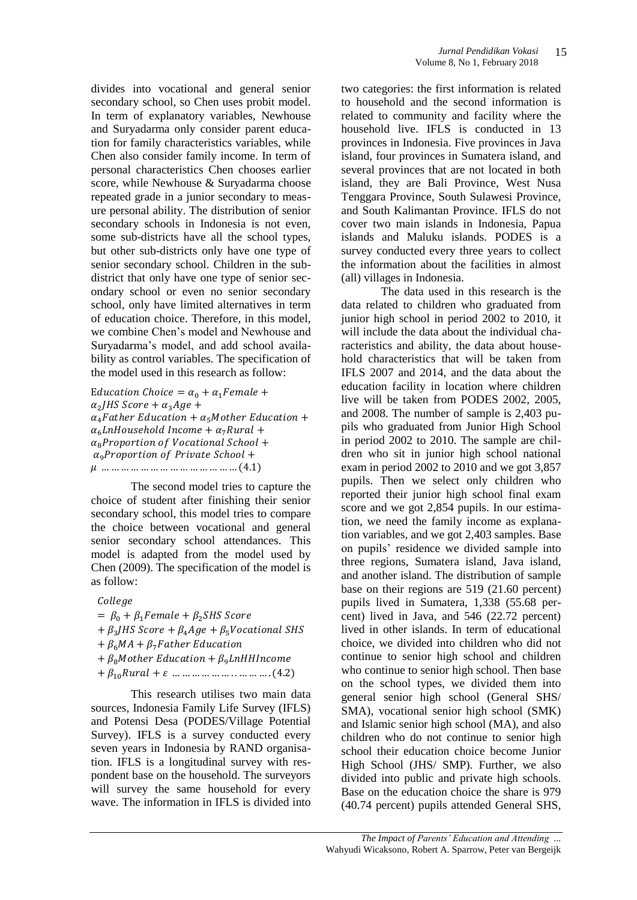divides into vocational and general senior secondary school, so Chen uses probit model. In term of explanatory variables, Newhouse and Suryadarma only consider parent education for family characteristics variables, while Chen also consider family income. In term of personal characteristics Chen chooses earlier score, while Newhouse & Suryadarma choose repeated grade in a junior secondary to measure personal ability. The distribution of senior secondary schools in Indonesia is not even, some sub-districts have all the school types, but other sub-districts only have one type of senior secondary school. Children in the subdistrict that only have one type of senior secondary school or even no senior secondary school, only have limited alternatives in term of education choice. Therefore, in this model, we combine Chen's model and Newhouse and Suryadarma's model, and add school availability as control variables. The specification of the model used in this research as follow:

Education Choice =  $\alpha_0 + \alpha_1$ Female +  $\alpha_2$  $\alpha_4$ Father Education +  $\alpha_5$ Mother Education +  $\alpha_6$ *LnHousehold Income* +  $\alpha_7$ *Rural* +  $\alpha_{\rm s}$ Proportion of Vocational School +  $\alpha_9$ Proportion of Private School + 

The second model tries to capture the choice of student after finishing their senior secondary school, this model tries to compare the choice between vocational and general senior secondary school attendances. This model is adapted from the model used by Chen (2009). The specification of the model is as follow:

College

 $= \beta_0 + \beta_1$ Female +  $\beta_2$ SHS Score  $+\beta_3J$  $+ \beta_6 MA + \beta_7 Father$  Education  $+\beta_8$ Mother Education +  $\beta_9$ LnHHIncome  $+ \beta_{10} Rural + \varepsilon$  ... ... ... ... ... ... ... ... ... (4.2)

This research utilises two main data sources, Indonesia Family Life Survey (IFLS) and Potensi Desa (PODES/Village Potential Survey). IFLS is a survey conducted every seven years in Indonesia by RAND organisation. IFLS is a longitudinal survey with respondent base on the household. The surveyors will survey the same household for every wave. The information in IFLS is divided into two categories: the first information is related to household and the second information is related to community and facility where the household live. IFLS is conducted in 13 provinces in Indonesia. Five provinces in Java island, four provinces in Sumatera island, and several provinces that are not located in both island, they are Bali Province, West Nusa Tenggara Province, South Sulawesi Province, and South Kalimantan Province. IFLS do not cover two main islands in Indonesia, Papua islands and Maluku islands. PODES is a survey conducted every three years to collect the information about the facilities in almost (all) villages in Indonesia.

The data used in this research is the data related to children who graduated from junior high school in period 2002 to 2010, it will include the data about the individual characteristics and ability, the data about household characteristics that will be taken from IFLS 2007 and 2014, and the data about the education facility in location where children live will be taken from PODES 2002, 2005, and 2008. The number of sample is 2,403 pupils who graduated from Junior High School in period 2002 to 2010. The sample are children who sit in junior high school national exam in period 2002 to 2010 and we got 3,857 pupils. Then we select only children who reported their junior high school final exam score and we got 2,854 pupils. In our estimation, we need the family income as explanation variables, and we got 2,403 samples. Base on pupils' residence we divided sample into three regions, Sumatera island, Java island, and another island. The distribution of sample base on their regions are 519 (21.60 percent) pupils lived in Sumatera, 1,338 (55.68 percent) lived in Java, and 546 (22.72 percent) lived in other islands. In term of educational choice, we divided into children who did not continue to senior high school and children who continue to senior high school. Then base on the school types, we divided them into general senior high school (General SHS/ SMA), vocational senior high school (SMK) and Islamic senior high school (MA), and also children who do not continue to senior high school their education choice become Junior High School (JHS/ SMP). Further, we also divided into public and private high schools. Base on the education choice the share is 979 (40.74 percent) pupils attended General SHS,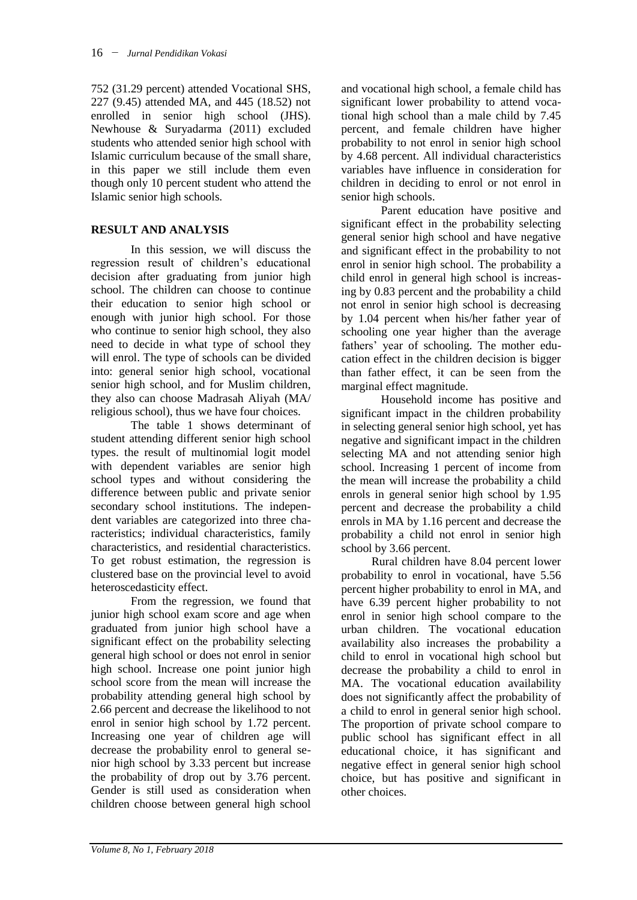752 (31.29 percent) attended Vocational SHS, 227 (9.45) attended MA, and 445 (18.52) not enrolled in senior high school (JHS). Newhouse & Suryadarma (2011) excluded students who attended senior high school with Islamic curriculum because of the small share, in this paper we still include them even though only 10 percent student who attend the Islamic senior high schools.

## **RESULT AND ANALYSIS**

In this session, we will discuss the regression result of children's educational decision after graduating from junior high school. The children can choose to continue their education to senior high school or enough with junior high school. For those who continue to senior high school, they also need to decide in what type of school they will enrol. The type of schools can be divided into: general senior high school, vocational senior high school, and for Muslim children, they also can choose Madrasah Aliyah (MA/ religious school), thus we have four choices.

The table 1 shows determinant of student attending different senior high school types. the result of multinomial logit model with dependent variables are senior high school types and without considering the difference between public and private senior secondary school institutions. The independent variables are categorized into three characteristics; individual characteristics, family characteristics, and residential characteristics. To get robust estimation, the regression is clustered base on the provincial level to avoid heteroscedasticity effect.

From the regression, we found that junior high school exam score and age when graduated from junior high school have a significant effect on the probability selecting general high school or does not enrol in senior high school. Increase one point junior high school score from the mean will increase the probability attending general high school by 2.66 percent and decrease the likelihood to not enrol in senior high school by 1.72 percent. Increasing one year of children age will decrease the probability enrol to general senior high school by 3.33 percent but increase the probability of drop out by 3.76 percent. Gender is still used as consideration when children choose between general high school

and vocational high school, a female child has significant lower probability to attend vocational high school than a male child by 7.45 percent, and female children have higher probability to not enrol in senior high school by 4.68 percent. All individual characteristics variables have influence in consideration for children in deciding to enrol or not enrol in senior high schools.

Parent education have positive and significant effect in the probability selecting general senior high school and have negative and significant effect in the probability to not enrol in senior high school. The probability a child enrol in general high school is increasing by 0.83 percent and the probability a child not enrol in senior high school is decreasing by 1.04 percent when his/her father year of schooling one year higher than the average fathers' year of schooling. The mother education effect in the children decision is bigger than father effect, it can be seen from the marginal effect magnitude.

Household income has positive and significant impact in the children probability in selecting general senior high school, yet has negative and significant impact in the children selecting MA and not attending senior high school. Increasing 1 percent of income from the mean will increase the probability a child enrols in general senior high school by 1.95 percent and decrease the probability a child enrols in MA by 1.16 percent and decrease the probability a child not enrol in senior high school by 3.66 percent.

Rural children have 8.04 percent lower probability to enrol in vocational, have 5.56 percent higher probability to enrol in MA, and have 6.39 percent higher probability to not enrol in senior high school compare to the urban children. The vocational education availability also increases the probability a child to enrol in vocational high school but decrease the probability a child to enrol in MA. The vocational education availability does not significantly affect the probability of a child to enrol in general senior high school. The proportion of private school compare to public school has significant effect in all educational choice, it has significant and negative effect in general senior high school choice, but has positive and significant in other choices.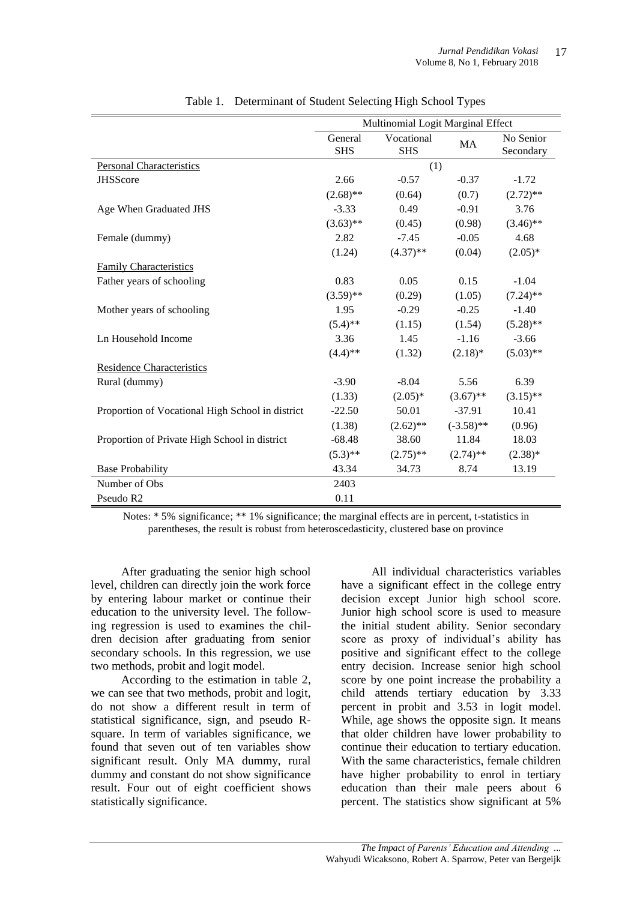|                                                  | Multinomial Logit Marginal Effect |                          |              |                        |
|--------------------------------------------------|-----------------------------------|--------------------------|--------------|------------------------|
|                                                  | General<br><b>SHS</b>             | Vocational<br><b>SHS</b> | MA           | No Senior<br>Secondary |
| <b>Personal Characteristics</b>                  |                                   | (1)                      |              |                        |
| <b>JHSScore</b>                                  | 2.66                              | $-0.57$                  | $-0.37$      | $-1.72$                |
|                                                  | $(2.68)$ **                       | (0.64)                   | (0.7)        | $(2.72)$ **            |
| Age When Graduated JHS                           | $-3.33$                           | 0.49                     | $-0.91$      | 3.76                   |
|                                                  | $(3.63)$ **                       | (0.45)                   | (0.98)       | $(3.46)$ **            |
| Female (dummy)                                   | 2.82                              | $-7.45$                  | $-0.05$      | 4.68                   |
|                                                  | (1.24)                            | $(4.37)$ **              | (0.04)       | $(2.05)*$              |
| <b>Family Characteristics</b>                    |                                   |                          |              |                        |
| Father years of schooling                        | 0.83                              | 0.05                     | 0.15         | $-1.04$                |
|                                                  | $(3.59)$ **                       | (0.29)                   | (1.05)       | $(7.24)$ **            |
| Mother years of schooling                        | 1.95                              | $-0.29$                  | $-0.25$      | $-1.40$                |
|                                                  | $(5.4)$ **                        | (1.15)                   | (1.54)       | $(5.28)$ **            |
| Ln Household Income                              | 3.36                              | 1.45                     | $-1.16$      | $-3.66$                |
|                                                  | $(4.4)$ **                        | (1.32)                   | $(2.18)$ *   | $(5.03)$ **            |
| <b>Residence Characteristics</b>                 |                                   |                          |              |                        |
| Rural (dummy)                                    | $-3.90$                           | $-8.04$                  | 5.56         | 6.39                   |
|                                                  | (1.33)                            | $(2.05)*$                | $(3.67)$ **  | $(3.15)$ **            |
| Proportion of Vocational High School in district | $-22.50$                          | 50.01                    | $-37.91$     | 10.41                  |
|                                                  | (1.38)                            | $(2.62)$ **              | $(-3.58)$ ** | (0.96)                 |
| Proportion of Private High School in district    | $-68.48$                          | 38.60                    | 11.84        | 18.03                  |
|                                                  | $(5.3)$ **                        | $(2.75)$ **              | $(2.74)$ **  | $(2.38)*$              |
| <b>Base Probability</b>                          | 43.34                             | 34.73                    | 8.74         | 13.19                  |
| Number of Obs                                    | 2403                              |                          |              |                        |
| Pseudo R <sub>2</sub>                            | 0.11                              |                          |              |                        |

Table 1. Determinant of Student Selecting High School Types

Notes: \* 5% significance; \*\* 1% significance; the marginal effects are in percent, t-statistics in parentheses, the result is robust from heteroscedasticity, clustered base on province

After graduating the senior high school level, children can directly join the work force by entering labour market or continue their education to the university level. The following regression is used to examines the children decision after graduating from senior secondary schools. In this regression, we use two methods, probit and logit model.

According to the estimation in table 2, we can see that two methods, probit and logit, do not show a different result in term of statistical significance, sign, and pseudo Rsquare. In term of variables significance, we found that seven out of ten variables show significant result. Only MA dummy, rural dummy and constant do not show significance result. Four out of eight coefficient shows statistically significance.

All individual characteristics variables have a significant effect in the college entry decision except Junior high school score. Junior high school score is used to measure the initial student ability. Senior secondary score as proxy of individual's ability has positive and significant effect to the college entry decision. Increase senior high school score by one point increase the probability a child attends tertiary education by 3.33 percent in probit and 3.53 in logit model. While, age shows the opposite sign. It means that older children have lower probability to continue their education to tertiary education. With the same characteristics, female children have higher probability to enrol in tertiary education than their male peers about 6 percent. The statistics show significant at 5%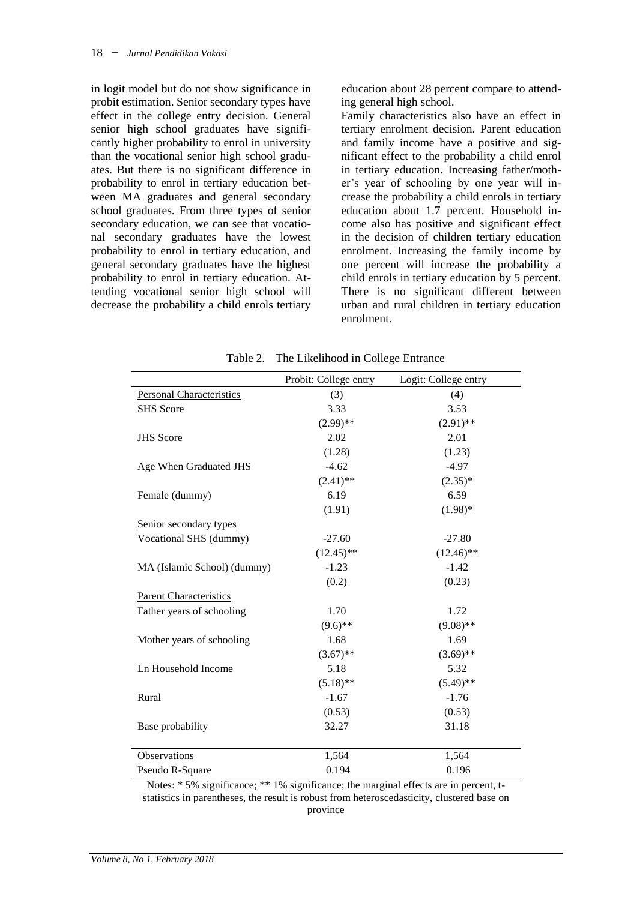in logit model but do not show significance in probit estimation. Senior secondary types have effect in the college entry decision. General senior high school graduates have significantly higher probability to enrol in university than the vocational senior high school graduates. But there is no significant difference in probability to enrol in tertiary education between MA graduates and general secondary school graduates. From three types of senior secondary education, we can see that vocational secondary graduates have the lowest probability to enrol in tertiary education, and general secondary graduates have the highest probability to enrol in tertiary education. Attending vocational senior high school will decrease the probability a child enrols tertiary education about 28 percent compare to attending general high school.

Family characteristics also have an effect in tertiary enrolment decision. Parent education and family income have a positive and significant effect to the probability a child enrol in tertiary education. Increasing father/mother's year of schooling by one year will increase the probability a child enrols in tertiary education about 1.7 percent. Household income also has positive and significant effect in the decision of children tertiary education enrolment. Increasing the family income by one percent will increase the probability a child enrols in tertiary education by 5 percent. There is no significant different between urban and rural children in tertiary education enrolment.

|                                 | Probit: College entry | Logit: College entry |
|---------------------------------|-----------------------|----------------------|
| <b>Personal Characteristics</b> | (3)                   | (4)                  |
| <b>SHS</b> Score                | 3.33                  | 3.53                 |
|                                 | $(2.99)$ **           | $(2.91)$ **          |
| <b>JHS</b> Score                | 2.02                  | 2.01                 |
|                                 | (1.28)                | (1.23)               |
| Age When Graduated JHS          | $-4.62$               | $-4.97$              |
|                                 | $(2.41)$ **           | $(2.35)^*$           |
| Female (dummy)                  | 6.19                  | 6.59                 |
|                                 | (1.91)                | $(1.98)$ *           |
| Senior secondary types          |                       |                      |
| Vocational SHS (dummy)          | $-27.60$              | $-27.80$             |
|                                 | $(12.45)$ **          | $(12.46)$ **         |
| MA (Islamic School) (dummy)     | $-1.23$               | $-1.42$              |
|                                 | (0.2)                 | (0.23)               |
| <b>Parent Characteristics</b>   |                       |                      |
| Father years of schooling       | 1.70                  | 1.72                 |
|                                 | $(9.6)$ **            | $(9.08)$ **          |
| Mother years of schooling       | 1.68                  | 1.69                 |
|                                 | $(3.67)$ **           | $(3.69)$ **          |
| Ln Household Income             | 5.18                  | 5.32                 |
|                                 | $(5.18)$ **           | $(5.49)$ **          |
| Rural                           | $-1.67$               | $-1.76$              |
|                                 | (0.53)                | (0.53)               |
| Base probability                | 32.27                 | 31.18                |
|                                 |                       |                      |
| Observations                    | 1,564                 | 1,564                |
| Pseudo R-Square                 | 0.194                 | 0.196                |

Table 2. The Likelihood in College Entrance

Notes: \* 5% significance; \*\* 1% significance; the marginal effects are in percent, tstatistics in parentheses, the result is robust from heteroscedasticity, clustered base on province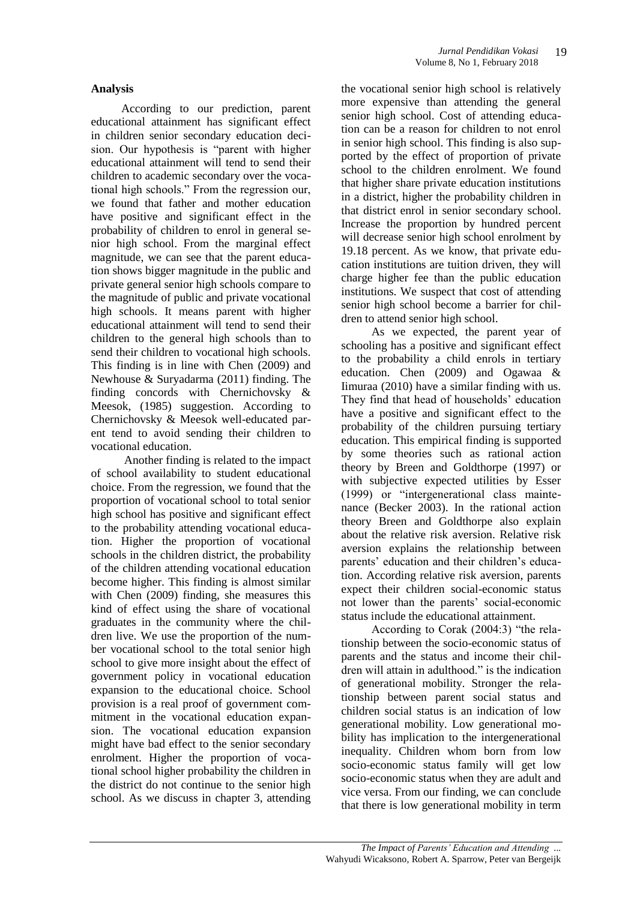### **Analysis**

According to our prediction, parent educational attainment has significant effect in children senior secondary education decision. Our hypothesis is "parent with higher educational attainment will tend to send their children to academic secondary over the vocational high schools." From the regression our, we found that father and mother education have positive and significant effect in the probability of children to enrol in general senior high school. From the marginal effect magnitude, we can see that the parent education shows bigger magnitude in the public and private general senior high schools compare to the magnitude of public and private vocational high schools. It means parent with higher educational attainment will tend to send their children to the general high schools than to send their children to vocational high schools. This finding is in line with Chen (2009) and Newhouse & Suryadarma (2011) finding. The finding concords with Chernichovsky & Meesok, (1985) suggestion. According to Chernichovsky & Meesok well-educated parent tend to avoid sending their children to vocational education.

Another finding is related to the impact of school availability to student educational choice. From the regression, we found that the proportion of vocational school to total senior high school has positive and significant effect to the probability attending vocational education. Higher the proportion of vocational schools in the children district, the probability of the children attending vocational education become higher. This finding is almost similar with Chen (2009) finding, she measures this kind of effect using the share of vocational graduates in the community where the children live. We use the proportion of the number vocational school to the total senior high school to give more insight about the effect of government policy in vocational education expansion to the educational choice. School provision is a real proof of government commitment in the vocational education expansion. The vocational education expansion might have bad effect to the senior secondary enrolment. Higher the proportion of vocational school higher probability the children in the district do not continue to the senior high school. As we discuss in chapter 3, attending

the vocational senior high school is relatively more expensive than attending the general senior high school. Cost of attending education can be a reason for children to not enrol in senior high school. This finding is also supported by the effect of proportion of private school to the children enrolment. We found that higher share private education institutions in a district, higher the probability children in that district enrol in senior secondary school. Increase the proportion by hundred percent will decrease senior high school enrolment by 19.18 percent. As we know, that private education institutions are tuition driven, they will charge higher fee than the public education institutions. We suspect that cost of attending senior high school become a barrier for children to attend senior high school.

As we expected, the parent year of schooling has a positive and significant effect to the probability a child enrols in tertiary education. Chen (2009) and Ogawaa & Iimuraa (2010) have a similar finding with us. They find that head of households' education have a positive and significant effect to the probability of the children pursuing tertiary education. This empirical finding is supported by some theories such as rational action theory by Breen and Goldthorpe (1997) or with subjective expected utilities by Esser (1999) or "intergenerational class maintenance (Becker 2003). In the rational action theory Breen and Goldthorpe also explain about the relative risk aversion. Relative risk aversion explains the relationship between parents' education and their children's education. According relative risk aversion, parents expect their children social-economic status not lower than the parents' social-economic status include the educational attainment.

According to Corak (2004:3) "the relationship between the socio-economic status of parents and the status and income their children will attain in adulthood." is the indication of generational mobility. Stronger the relationship between parent social status and children social status is an indication of low generational mobility. Low generational mobility has implication to the intergenerational inequality. Children whom born from low socio-economic status family will get low socio-economic status when they are adult and vice versa. From our finding, we can conclude that there is low generational mobility in term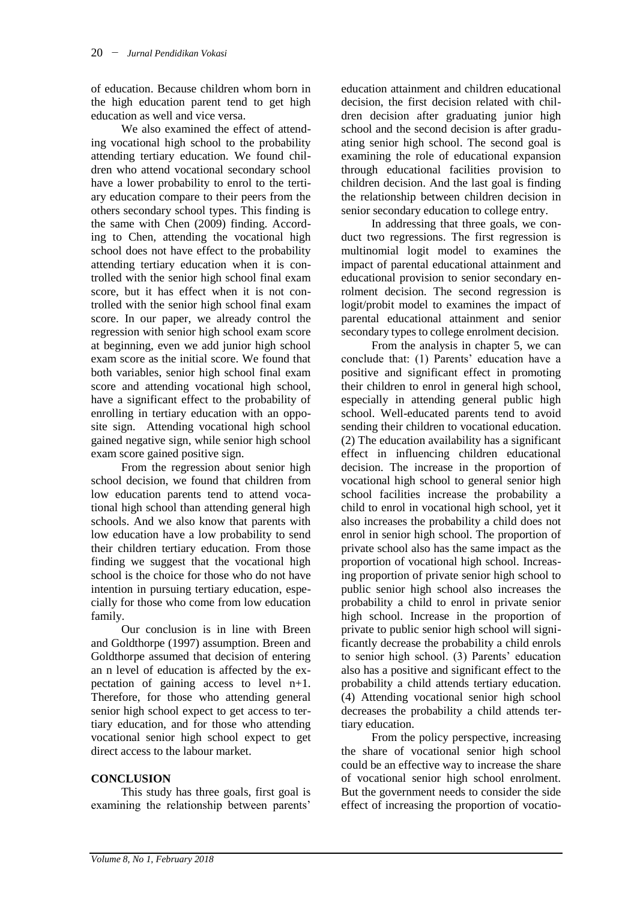of education. Because children whom born in the high education parent tend to get high education as well and vice versa.

We also examined the effect of attending vocational high school to the probability attending tertiary education. We found children who attend vocational secondary school have a lower probability to enrol to the tertiary education compare to their peers from the others secondary school types. This finding is the same with Chen (2009) finding. According to Chen, attending the vocational high school does not have effect to the probability attending tertiary education when it is controlled with the senior high school final exam score, but it has effect when it is not controlled with the senior high school final exam score. In our paper, we already control the regression with senior high school exam score at beginning, even we add junior high school exam score as the initial score. We found that both variables, senior high school final exam score and attending vocational high school, have a significant effect to the probability of enrolling in tertiary education with an opposite sign. Attending vocational high school gained negative sign, while senior high school exam score gained positive sign.

From the regression about senior high school decision, we found that children from low education parents tend to attend vocational high school than attending general high schools. And we also know that parents with low education have a low probability to send their children tertiary education. From those finding we suggest that the vocational high school is the choice for those who do not have intention in pursuing tertiary education, especially for those who come from low education family.

Our conclusion is in line with Breen and Goldthorpe (1997) assumption. Breen and Goldthorpe assumed that decision of entering an n level of education is affected by the expectation of gaining access to level n+1. Therefore, for those who attending general senior high school expect to get access to tertiary education, and for those who attending vocational senior high school expect to get direct access to the labour market.

## **CONCLUSION**

This study has three goals, first goal is examining the relationship between parents' education attainment and children educational decision, the first decision related with children decision after graduating junior high school and the second decision is after graduating senior high school. The second goal is examining the role of educational expansion through educational facilities provision to children decision. And the last goal is finding the relationship between children decision in senior secondary education to college entry.

In addressing that three goals, we conduct two regressions. The first regression is multinomial logit model to examines the impact of parental educational attainment and educational provision to senior secondary enrolment decision. The second regression is logit/probit model to examines the impact of parental educational attainment and senior secondary types to college enrolment decision.

From the analysis in chapter 5, we can conclude that: (1) Parents' education have a positive and significant effect in promoting their children to enrol in general high school, especially in attending general public high school. Well-educated parents tend to avoid sending their children to vocational education. (2) The education availability has a significant effect in influencing children educational decision. The increase in the proportion of vocational high school to general senior high school facilities increase the probability a child to enrol in vocational high school, yet it also increases the probability a child does not enrol in senior high school. The proportion of private school also has the same impact as the proportion of vocational high school. Increasing proportion of private senior high school to public senior high school also increases the probability a child to enrol in private senior high school. Increase in the proportion of private to public senior high school will significantly decrease the probability a child enrols to senior high school. (3) Parents' education also has a positive and significant effect to the probability a child attends tertiary education. (4) Attending vocational senior high school decreases the probability a child attends tertiary education.

From the policy perspective, increasing the share of vocational senior high school could be an effective way to increase the share of vocational senior high school enrolment. But the government needs to consider the side effect of increasing the proportion of vocatio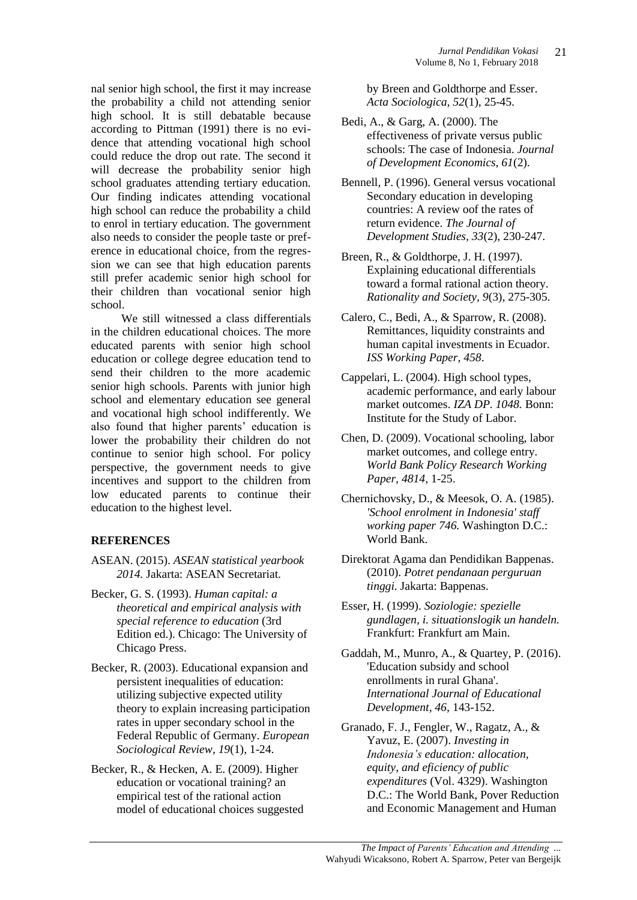nal senior high school, the first it may increase the probability a child not attending senior high school. It is still debatable because according to Pittman (1991) there is no evidence that attending vocational high school could reduce the drop out rate. The second it will decrease the probability senior high school graduates attending tertiary education. Our finding indicates attending vocational high school can reduce the probability a child to enrol in tertiary education. The government also needs to consider the people taste or preference in educational choice, from the regression we can see that high education parents still prefer academic senior high school for their children than vocational senior high school.

We still witnessed a class differentials in the children educational choices. The more educated parents with senior high school education or college degree education tend to send their children to the more academic senior high schools. Parents with junior high school and elementary education see general and vocational high school indifferently. We also found that higher parents' education is lower the probability their children do not continue to senior high school. For policy perspective, the government needs to give incentives and support to the children from low educated parents to continue their education to the highest level.

### **REFERENCES**

- ASEAN. (2015). *ASEAN statistical yearbook 2014.* Jakarta: ASEAN Secretariat.
- Becker, G. S. (1993). *Human capital: a theoretical and empirical analysis with special reference to education* (3rd Edition ed.). Chicago: The University of Chicago Press.
- Becker, R. (2003). Educational expansion and persistent inequalities of education: utilizing subjective expected utility theory to explain increasing participation rates in upper secondary school in the Federal Republic of Germany. *European Sociological Review, 19*(1), 1-24.
- Becker, R., & Hecken, A. E. (2009). Higher education or vocational training? an empirical test of the rational action model of educational choices suggested

by Breen and Goldthorpe and Esser. *Acta Sociologica, 52*(1), 25-45.

- Bedi, A., & Garg, A. (2000). The effectiveness of private versus public schools: The case of Indonesia. *Journal of Development Economics, 61*(2).
- Bennell, P. (1996). General versus vocational Secondary education in developing countries: A review oof the rates of return evidence. *The Journal of Development Studies, 33*(2), 230-247.
- Breen, R., & Goldthorpe, J. H. (1997). Explaining educational differentials toward a formal rational action theory. *Rationality and Society, 9*(3), 275-305.
- Calero, C., Bedi, A., & Sparrow, R. (2008). Remittances, liquidity constraints and human capital investments in Ecuador. *ISS Working Paper, 458*.
- Cappelari, L. (2004). High school types, academic performance, and early labour market outcomes. *IZA DP. 1048.* Bonn: Institute for the Study of Labor.
- Chen, D. (2009). Vocational schooling, labor market outcomes, and college entry. *World Bank Policy Research Working Paper, 4814*, 1-25.
- Chernichovsky, D., & Meesok, O. A. (1985). *'School enrolment in Indonesia' staff working paper 746.* Washington D.C.: World Bank.
- Direktorat Agama dan Pendidikan Bappenas. (2010). *Potret pendanaan perguruan tinggi.* Jakarta: Bappenas.
- Esser, H. (1999). *Soziologie: spezielle gundlagen, i. situationslogik un handeln.* Frankfurt: Frankfurt am Main.
- Gaddah, M., Munro, A., & Quartey, P. (2016). 'Education subsidy and school enrollments in rural Ghana'. *International Journal of Educational Development, 46*, 143-152.
- Granado, F. J., Fengler, W., Ragatz, A., & Yavuz, E. (2007). *Investing in Indonesia's education: allocation, equity, and eficiency of public expenditures* (Vol. 4329). Washington D.C.: The World Bank, Pover Reduction and Economic Management and Human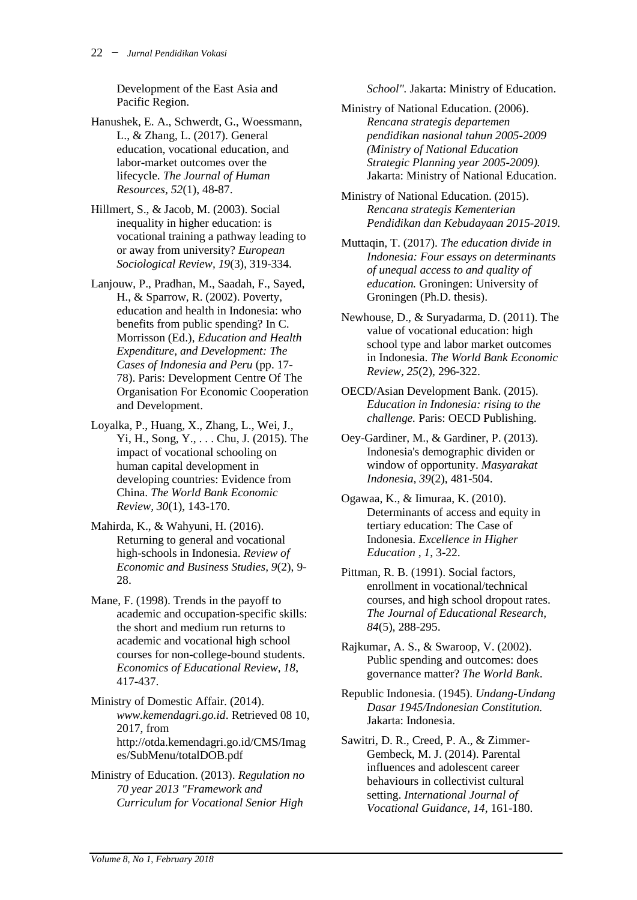Development of the East Asia and Pacific Region.

Hanushek, E. A., Schwerdt, G., Woessmann, L., & Zhang, L. (2017). General education, vocational education, and labor-market outcomes over the lifecycle. *The Journal of Human Resources, 52*(1), 48-87.

Hillmert, S., & Jacob, M. (2003). Social inequality in higher education: is vocational training a pathway leading to or away from university? *European Sociological Review, 19*(3), 319-334.

Lanjouw, P., Pradhan, M., Saadah, F., Sayed, H., & Sparrow, R. (2002). Poverty, education and health in Indonesia: who benefits from public spending? In C. Morrisson (Ed.), *Education and Health Expenditure, and Development: The Cases of Indonesia and Peru* (pp. 17- 78). Paris: Development Centre Of The Organisation For Economic Cooperation and Development.

Loyalka, P., Huang, X., Zhang, L., Wei, J., Yi, H., Song, Y., . . . Chu, J. (2015). The impact of vocational schooling on human capital development in developing countries: Evidence from China. *The World Bank Economic Review, 30*(1), 143-170.

Mahirda, K., & Wahyuni, H. (2016). Returning to general and vocational high-schools in Indonesia. *Review of Economic and Business Studies, 9*(2), 9- 28.

Mane, F. (1998). Trends in the payoff to academic and occupation-specific skills: the short and medium run returns to academic and vocational high school courses for non-college-bound students. *Economics of Educational Review, 18*, 417-437.

Ministry of Domestic Affair. (2014). *www.kemendagri.go.id*. Retrieved 08 10, 2017, from http://otda.kemendagri.go.id/CMS/Imag es/SubMenu/totalDOB.pdf

Ministry of Education. (2013). *Regulation no 70 year 2013 "Framework and Curriculum for Vocational Senior High* 

*School".* Jakarta: Ministry of Education.

Ministry of National Education. (2006). *Rencana strategis departemen pendidikan nasional tahun 2005-2009 (Ministry of National Education Strategic Planning year 2005-2009).* Jakarta: Ministry of National Education.

Ministry of National Education. (2015). *Rencana strategis Kementerian Pendidikan dan Kebudayaan 2015-2019.*

Muttaqin, T. (2017). *The education divide in Indonesia: Four essays on determinants of unequal access to and quality of education.* Groningen: University of Groningen (Ph.D. thesis).

Newhouse, D., & Suryadarma, D. (2011). The value of vocational education: high school type and labor market outcomes in Indonesia. *The World Bank Economic Review, 25*(2), 296-322.

OECD/Asian Development Bank. (2015). *Education in Indonesia: rising to the challenge.* Paris: OECD Publishing.

Oey-Gardiner, M., & Gardiner, P. (2013). Indonesia's demographic dividen or window of opportunity. *Masyarakat Indonesia, 39*(2), 481-504.

Ogawaa, K., & Iimuraa, K. (2010). Determinants of access and equity in tertiary education: The Case of Indonesia. *Excellence in Higher Education , 1*, 3-22.

Pittman, R. B. (1991). Social factors, enrollment in vocational/technical courses, and high school dropout rates. *The Journal of Educational Research, 84*(5), 288-295.

Rajkumar, A. S., & Swaroop, V. (2002). Public spending and outcomes: does governance matter? *The World Bank*.

Republic Indonesia. (1945). *Undang-Undang Dasar 1945/Indonesian Constitution.* Jakarta: Indonesia.

Sawitri, D. R., Creed, P. A., & Zimmer-Gembeck, M. J. (2014). Parental influences and adolescent career behaviours in collectivist cultural setting. *International Journal of Vocational Guidance, 14*, 161-180.